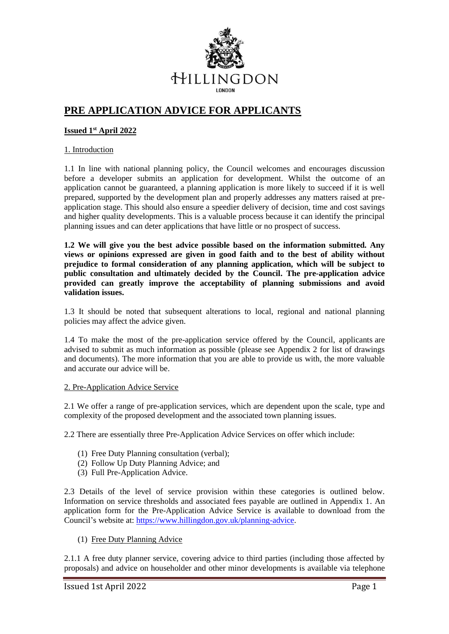

# **PRE APPLICATION ADVICE FOR APPLICANTS**

## **Issued 1st April 2022**

### 1. Introduction

1.1 In line with national planning policy, the Council welcomes and encourages discussion before a developer submits an application for development. Whilst the outcome of an application cannot be guaranteed, a planning application is more likely to succeed if it is well prepared, supported by the development plan and properly addresses any matters raised at preapplication stage. This should also ensure a speedier delivery of decision, time and cost savings and higher quality developments. This is a valuable process because it can identify the principal planning issues and can deter applications that have little or no prospect of success.

**1.2 We will give you the best advice possible based on the information submitted. Any views or opinions expressed are given in good faith and to the best of ability without prejudice to formal consideration of any planning application, which will be subject to public consultation and ultimately decided by the Council. The pre-application advice provided can greatly improve the acceptability of planning submissions and avoid validation issues.** 

1.3 It should be noted that subsequent alterations to local, regional and national planning policies may affect the advice given.

1.4 To make the most of the pre-application service offered by the Council, applicants are advised to submit as much information as possible (please see Appendix 2 for list of drawings and documents). The more information that you are able to provide us with, the more valuable and accurate our advice will be.

### 2. Pre-Application Advice Service

2.1 We offer a range of pre-application services, which are dependent upon the scale, type and complexity of the proposed development and the associated town planning issues.

2.2 There are essentially three Pre-Application Advice Services on offer which include:

- (1) Free Duty Planning consultation (verbal);
- (2) Follow Up Duty Planning Advice; and
- (3) Full Pre-Application Advice.

2.3 Details of the level of service provision within these categories is outlined below. Information on service thresholds and associated fees payable are outlined in Appendix 1. An application form for the Pre-Application Advice Service is available to download from the Council's website at[: https://www.hillingdon.gov.uk/planning-advice.](https://www.hillingdon.gov.uk/planning-advice)

(1) Free Duty Planning Advice

2.1.1 A free duty planner service, covering advice to third parties (including those affected by proposals) and advice on householder and other minor developments is available via telephone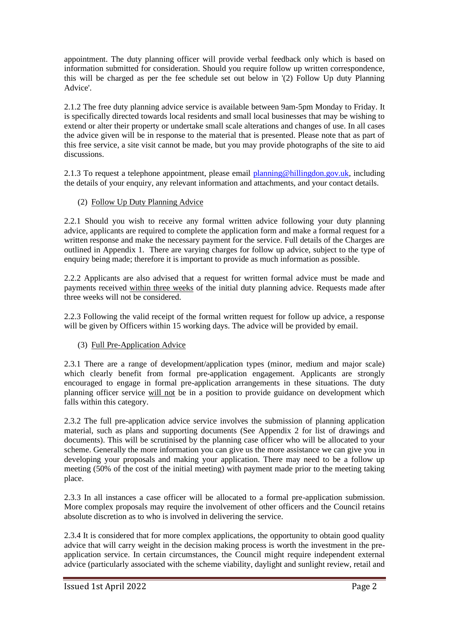appointment. The duty planning officer will provide verbal feedback only which is based on information submitted for consideration. Should you require follow up written correspondence, this will be charged as per the fee schedule set out below in '(2) Follow Up duty Planning Advice'.

2.1.2 The free duty planning advice service is available between 9am-5pm Monday to Friday. It is specifically directed towards local residents and small local businesses that may be wishing to extend or alter their property or undertake small scale alterations and changes of use. In all cases the advice given will be in response to the material that is presented. Please note that as part of this free service, a site visit cannot be made, but you may provide photographs of the site to aid discussions.

2.1.3 To request a telephone appointment, please email [planning@hillingdon.gov.uk,](mailto:planning@hillingdon.gov.uk) including the details of your enquiry, any relevant information and attachments, and your contact details.

## (2) Follow Up Duty Planning Advice

2.2.1 Should you wish to receive any formal written advice following your duty planning advice, applicants are required to complete the application form and make a formal request for a written response and make the necessary payment for the service. Full details of the Charges are outlined in Appendix 1. There are varying charges for follow up advice, subject to the type of enquiry being made; therefore it is important to provide as much information as possible.

2.2.2 Applicants are also advised that a request for written formal advice must be made and payments received within three weeks of the initial duty planning advice. Requests made after three weeks will not be considered.

2.2.3 Following the valid receipt of the formal written request for follow up advice, a response will be given by Officers within 15 working days. The advice will be provided by email.

### (3) Full Pre-Application Advice

2.3.1 There are a range of development/application types (minor, medium and major scale) which clearly benefit from formal pre-application engagement. Applicants are strongly encouraged to engage in formal pre-application arrangements in these situations. The duty planning officer service will not be in a position to provide guidance on development which falls within this category.

2.3.2 The full pre-application advice service involves the submission of planning application material, such as plans and supporting documents (See Appendix 2 for list of drawings and documents). This will be scrutinised by the planning case officer who will be allocated to your scheme. Generally the more information you can give us the more assistance we can give you in developing your proposals and making your application. There may need to be a follow up meeting (50% of the cost of the initial meeting) with payment made prior to the meeting taking place.

2.3.3 In all instances a case officer will be allocated to a formal pre-application submission. More complex proposals may require the involvement of other officers and the Council retains absolute discretion as to who is involved in delivering the service.

2.3.4 It is considered that for more complex applications, the opportunity to obtain good quality advice that will carry weight in the decision making process is worth the investment in the preapplication service. In certain circumstances, the Council might require independent external advice (particularly associated with the scheme viability, daylight and sunlight review, retail and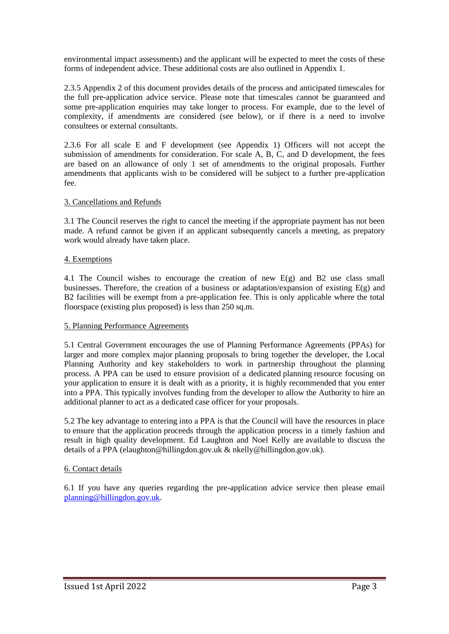environmental impact assessments) and the applicant will be expected to meet the costs of these forms of independent advice. These additional costs are also outlined in Appendix 1.

2.3.5 Appendix 2 of this document provides details of the process and anticipated timescales for the full pre-application advice service. Please note that timescales cannot be guaranteed and some pre-application enquiries may take longer to process. For example, due to the level of complexity, if amendments are considered (see below), or if there is a need to involve consultees or external consultants.

2.3.6 For all scale E and F development (see Appendix 1) Officers will not accept the submission of amendments for consideration. For scale A, B, C, and D development, the fees are based on an allowance of only 1 set of amendments to the original proposals. Further amendments that applicants wish to be considered will be subject to a further pre-application fee.

### 3. Cancellations and Refunds

3.1 The Council reserves the right to cancel the meeting if the appropriate payment has not been made. A refund cannot be given if an applicant subsequently cancels a meeting, as prepatory work would already have taken place.

#### 4. Exemptions

4.1 The Council wishes to encourage the creation of new  $E(g)$  and B2 use class small businesses. Therefore, the creation of a business or adaptation/expansion of existing E(g) and B2 facilities will be exempt from a pre-application fee. This is only applicable where the total floorspace (existing plus proposed) is less than 250 sq.m.

#### 5. Planning Performance Agreements

5.1 Central Government encourages the use of Planning Performance Agreements (PPAs) for larger and more complex major planning proposals to bring together the developer, the Local Planning Authority and key stakeholders to work in partnership throughout the planning process. A PPA can be used to ensure provision of a dedicated planning resource focusing on your application to ensure it is dealt with as a priority, it is highly recommended that you enter into a PPA. This typically involves funding from the developer to allow the Authority to hire an additional planner to act as a dedicated case officer for your proposals.

5.2 The key advantage to entering into a PPA is that the Council will have the resources in place to ensure that the application proceeds through the application process in a timely fashion and result in high quality development. Ed Laughton and Noel Kelly are available to discuss the details of a PPA (elaughton@hillingdon.gov.uk & nkelly@hillingdon.gov.uk).

#### 6. Contact details

6.1 If you have any queries regarding the pre-application advice service then please email [planning@hillingdon.gov.uk.](mailto:planning@hillingdon.gov.uk)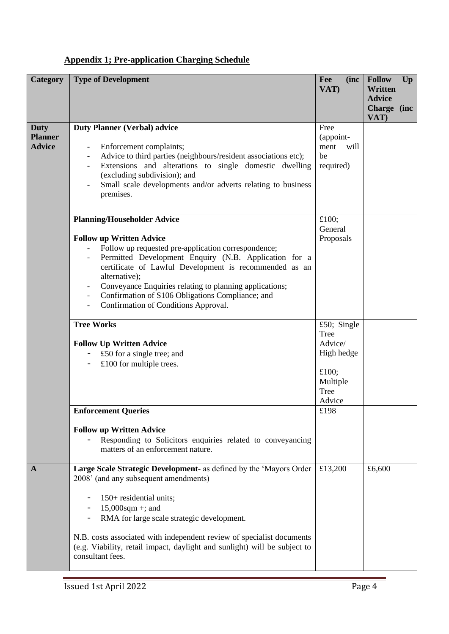# **Appendix 1; Pre-application Charging Schedule**

| Category                                       | <b>Type of Development</b>                                                                                                                                                                                                                                                                                                                                                                                              | Fee<br>(inc<br>VAT)                                                                 | <b>Follow</b><br>Up<br>Written<br><b>Advice</b><br>Charge (inc<br>VAT) |
|------------------------------------------------|-------------------------------------------------------------------------------------------------------------------------------------------------------------------------------------------------------------------------------------------------------------------------------------------------------------------------------------------------------------------------------------------------------------------------|-------------------------------------------------------------------------------------|------------------------------------------------------------------------|
| <b>Duty</b><br><b>Planner</b><br><b>Advice</b> | <b>Duty Planner (Verbal) advice</b><br>Enforcement complaints;<br>Advice to third parties (neighbours/resident associations etc);<br>Extensions and alterations to single domestic dwelling<br>(excluding subdivision); and<br>Small scale developments and/or adverts relating to business<br>premises.                                                                                                                | Free<br>(appoint-<br>ment<br>will<br>be<br>required)                                |                                                                        |
|                                                | <b>Planning/Householder Advice</b><br><b>Follow up Written Advice</b><br>Follow up requested pre-application correspondence;<br>Permitted Development Enquiry (N.B. Application for a<br>certificate of Lawful Development is recommended as an<br>alternative);<br>Conveyance Enquiries relating to planning applications;<br>Confirmation of S106 Obligations Compliance; and<br>Confirmation of Conditions Approval. | £100;<br>General<br>Proposals                                                       |                                                                        |
|                                                | <b>Tree Works</b><br><b>Follow Up Written Advice</b><br>£50 for a single tree; and<br>£100 for multiple trees.                                                                                                                                                                                                                                                                                                          | £50; Single<br>Tree<br>Advice/<br>High hedge<br>£100;<br>Multiple<br>Tree<br>Advice |                                                                        |
|                                                | <b>Enforcement Queries</b><br><b>Follow up Written Advice</b><br>Responding to Solicitors enquiries related to conveyancing<br>matters of an enforcement nature.                                                                                                                                                                                                                                                        | £198                                                                                |                                                                        |
| $\mathbf{A}$                                   | Large Scale Strategic Development- as defined by the 'Mayors Order<br>2008' (and any subsequent amendments)<br>150+ residential units;<br>$15,000$ sqm +; and<br>RMA for large scale strategic development.<br>N.B. costs associated with independent review of specialist documents<br>(e.g. Viability, retail impact, daylight and sunlight) will be subject to<br>consultant fees.                                   | £13,200                                                                             | £6,600                                                                 |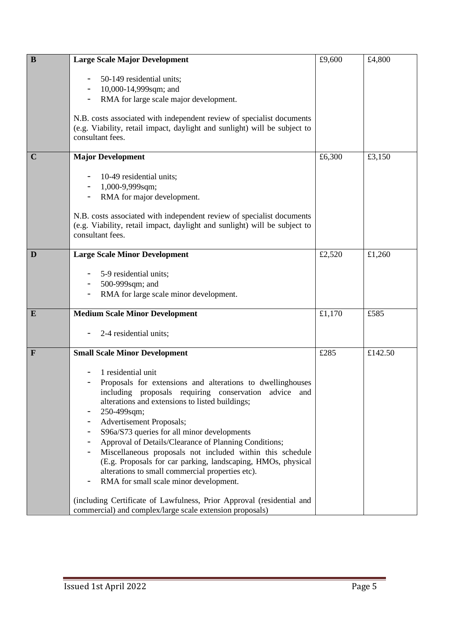| $\bf{B}$     | <b>Large Scale Major Development</b>                                                                 | £9,600 | £4,800  |
|--------------|------------------------------------------------------------------------------------------------------|--------|---------|
|              |                                                                                                      |        |         |
|              | 50-149 residential units;<br>10,000-14,999sqm; and                                                   |        |         |
|              | RMA for large scale major development.                                                               |        |         |
|              |                                                                                                      |        |         |
|              | N.B. costs associated with independent review of specialist documents                                |        |         |
|              | (e.g. Viability, retail impact, daylight and sunlight) will be subject to<br>consultant fees.        |        |         |
|              |                                                                                                      |        |         |
| $\mathbf C$  | <b>Major Development</b>                                                                             | £6,300 | £3,150  |
|              |                                                                                                      |        |         |
|              | 10-49 residential units;                                                                             |        |         |
|              | 1,000-9,999sqm;                                                                                      |        |         |
|              | RMA for major development.                                                                           |        |         |
|              | N.B. costs associated with independent review of specialist documents                                |        |         |
|              | (e.g. Viability, retail impact, daylight and sunlight) will be subject to                            |        |         |
|              | consultant fees.                                                                                     |        |         |
| D            | <b>Large Scale Minor Development</b>                                                                 | £2,520 | £1,260  |
|              |                                                                                                      |        |         |
|              | 5-9 residential units;                                                                               |        |         |
|              | 500-999sqm; and                                                                                      |        |         |
|              | RMA for large scale minor development.                                                               |        |         |
| $\bf{E}$     | <b>Medium Scale Minor Development</b>                                                                | £1,170 | £585    |
|              | 2-4 residential units;                                                                               |        |         |
|              |                                                                                                      |        |         |
| $\mathbf{F}$ | <b>Small Scale Minor Development</b>                                                                 | £285   | £142.50 |
|              | 1 residential unit                                                                                   |        |         |
|              | Proposals for extensions and alterations to dwellinghouses                                           |        |         |
|              | including proposals requiring conservation advice and                                                |        |         |
|              | alterations and extensions to listed buildings;                                                      |        |         |
|              | 250-499sqm;<br>-                                                                                     |        |         |
|              | Advertisement Proposals;                                                                             |        |         |
|              | S96a/S73 queries for all minor developments<br>Approval of Details/Clearance of Planning Conditions; |        |         |
|              | Miscellaneous proposals not included within this schedule                                            |        |         |
|              | (E.g. Proposals for car parking, landscaping, HMOs, physical                                         |        |         |
|              | alterations to small commercial properties etc).                                                     |        |         |
|              | RMA for small scale minor development.                                                               |        |         |
|              | (including Certificate of Lawfulness, Prior Approval (residential and                                |        |         |
|              | commercial) and complex/large scale extension proposals)                                             |        |         |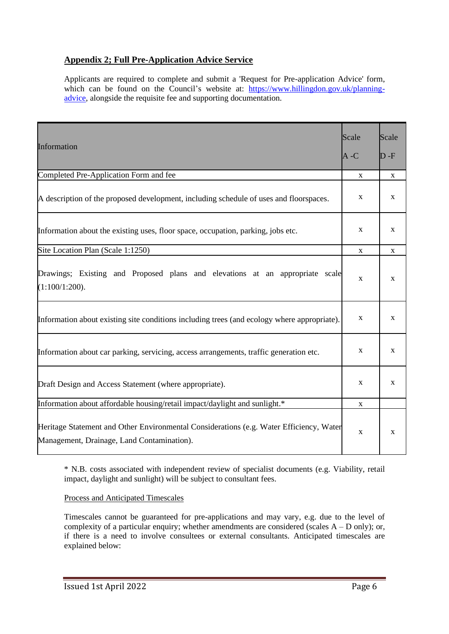# **Appendix 2; Full Pre-Application Advice Service**

Applicants are required to complete and submit a 'Request for Pre-application Advice' form, which can be found on the Council's website at: [https://www.hillingdon.gov.uk/planning](https://www.hillingdon.gov.uk/planning-advice)[advice,](https://www.hillingdon.gov.uk/planning-advice) alongside the requisite fee and supporting documentation.

| Information                                                                                                                           | Scale<br>A -C | Scale<br>$D - F$ |
|---------------------------------------------------------------------------------------------------------------------------------------|---------------|------------------|
| Completed Pre-Application Form and fee                                                                                                | X             | $\mathbf X$      |
| A description of the proposed development, including schedule of uses and floorspaces.                                                | $\mathbf X$   | $\mathbf X$      |
| Information about the existing uses, floor space, occupation, parking, jobs etc.                                                      | $\mathbf X$   | $\mathbf X$      |
| Site Location Plan (Scale 1:1250)                                                                                                     | $\mathbf X$   | $\mathbf X$      |
| Drawings; Existing and Proposed plans and elevations at an appropriate scale<br>$(1:100/1:200)$ .                                     | $\mathbf X$   | X                |
| Information about existing site conditions including trees (and ecology where appropriate).                                           | $\mathbf X$   | $\mathbf X$      |
| Information about car parking, servicing, access arrangements, traffic generation etc.                                                | $\mathbf X$   | $\mathbf X$      |
| Draft Design and Access Statement (where appropriate).                                                                                | $\mathbf X$   | X                |
| Information about affordable housing/retail impact/daylight and sunlight.*                                                            |               |                  |
| Heritage Statement and Other Environmental Considerations (e.g. Water Efficiency, Water<br>Management, Drainage, Land Contamination). | $\mathbf X$   | X                |

\* N.B. costs associated with independent review of specialist documents (e.g. Viability, retail impact, daylight and sunlight) will be subject to consultant fees.

Process and Anticipated Timescales

Timescales cannot be guaranteed for pre-applications and may vary, e.g. due to the level of complexity of a particular enquiry; whether amendments are considered (scales  $A - D$  only); or, if there is a need to involve consultees or external consultants. Anticipated timescales are explained below: